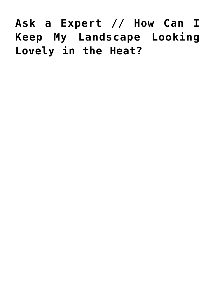# **[Ask a Expert // How Can I](https://livewellutah.org/2017/07/24/ask-a-expert-how-can-i-keep-my-landscape-looking-lovely-in-the-heat/) [Keep My Landscape Looking](https://livewellutah.org/2017/07/24/ask-a-expert-how-can-i-keep-my-landscape-looking-lovely-in-the-heat/) [Lovely in the Heat?](https://livewellutah.org/2017/07/24/ask-a-expert-how-can-i-keep-my-landscape-looking-lovely-in-the-heat/)**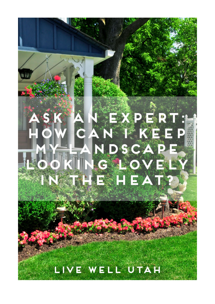# Þ N S <u> 중심원 도</u>  $\frac{\Delta y}{\Delta x}$ A LIVE WELL UTAH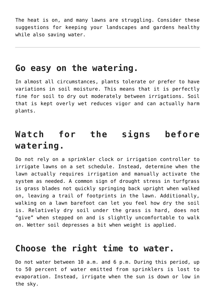The heat is on, and many lawns are struggling. Consider these suggestions for keeping your landscapes and gardens healthy while also saving water.

#### **Go easy on the watering.**

In almost all circumstances, plants tolerate or prefer to have variations in soil moisture. This means that it is perfectly fine for soil to dry out moderately between irrigations. Soil that is kept overly wet reduces vigor and can actually harm plants.

# **Watch for the signs before watering.**

Do not rely on a sprinkler clock or irrigation controller to irrigate lawns on a set schedule. Instead, determine when the lawn actually requires irrigation and manually activate the system as needed. A common sign of drought stress in turfgrass is grass blades not quickly springing back upright when walked on, leaving a trail of footprints in the lawn. Additionally, walking on a lawn barefoot can let you feel how dry the soil is. Relatively dry soil under the grass is hard, does not "give" when stepped on and is slightly uncomfortable to walk on. Wetter soil depresses a bit when weight is applied.

#### **Choose the right time to water.**

Do not water between 10 a.m. and 6 p.m. During this period, up to 50 percent of water emitted from sprinklers is lost to evaporation. Instead, irrigate when the sun is down or low in the sky.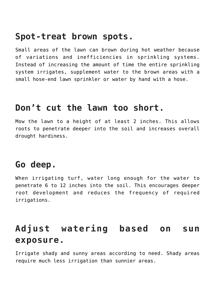#### **Spot-treat brown spots.**

Small areas of the lawn can brown during hot weather because of variations and inefficiencies in sprinkling systems. Instead of increasing the amount of time the entire sprinkling system irrigates, supplement water to the brown areas with a small hose-end lawn sprinkler or water by hand with a hose.

#### **Don't cut the lawn too short.**

Mow the lawn to a height of at least 2 inches. This allows roots to penetrate deeper into the soil and increases overall drought hardiness.

## **Go deep.**

When irrigating turf, water long enough for the water to penetrate 6 to 12 inches into the soil. This encourages deeper root development and reduces the frequency of required irrigations.

# **Adjust watering based on sun exposure.**

Irrigate shady and sunny areas according to need. Shady areas require much less irrigation than sunnier areas.